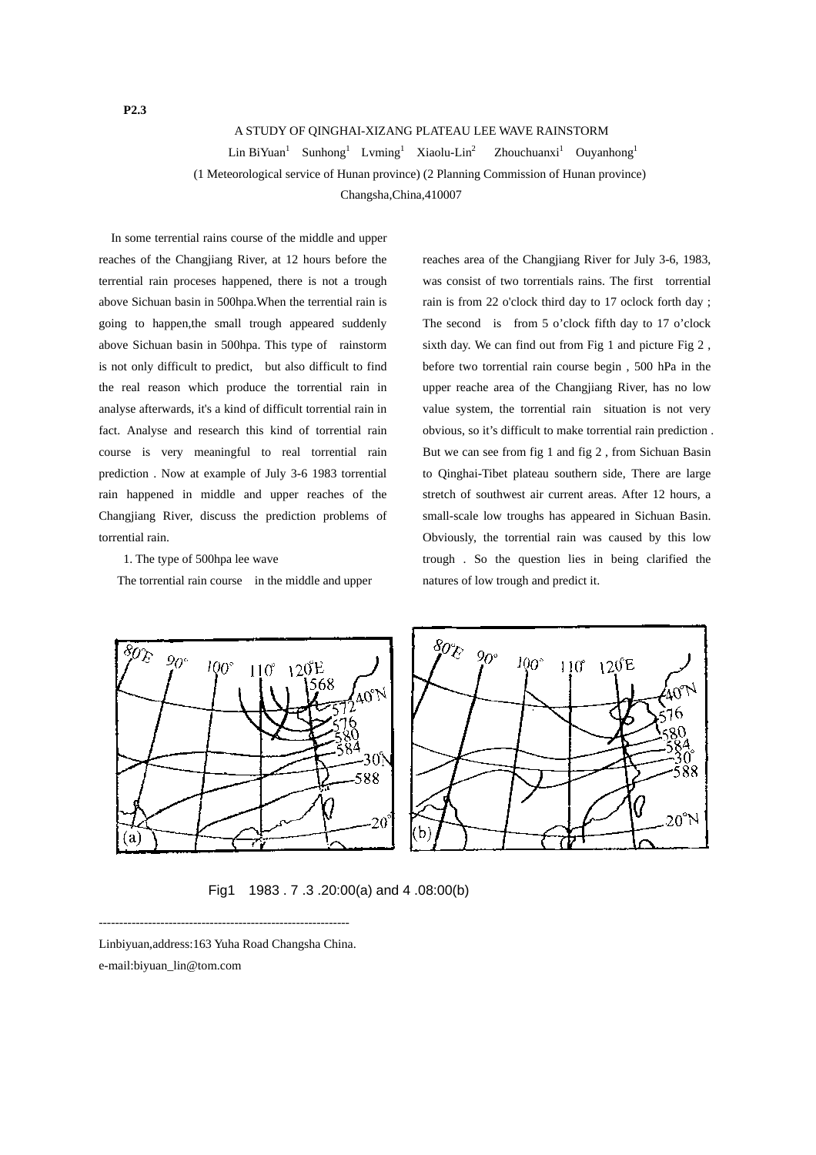## A STUDY OF QINGHAI-XIZANG PLATEAU LEE WAVE RAINSTORM

 $Lin BiYuan<sup>1</sup>$  Sunhong<sup>1</sup> Lvming<sup>1</sup> Xiaolu-Lin<sup>2</sup> Zhouchuanxi<sup>1</sup> Ouyanhong<sup>1</sup>

(1 Meteorological service of Hunan province) (2 Planning Commission of Hunan province)

Changsha,China,410007

In some terrential rains course of the middle and upper reaches of the Changjiang River, at 12 hours before the terrential rain proceses happened, there is not a trough above Sichuan basin in 500hpa.When the terrential rain is going to happen,the small trough appeared suddenly above Sichuan basin in 500hpa. This type of rainstorm is not only difficult to predict, but also difficult to find the real reason which produce the torrential rain in analyse afterwards, it's a kind of difficult torrential rain in fact. Analyse and research this kind of torrential rain course is very meaningful to real torrential rain prediction . Now at example of July 3-6 1983 torrential rain happened in middle and upper reaches of the Changjiang River, discuss the prediction problems of torrential rain.

1. The type of 500hpa lee wave

The torrential rain course in the middle and upper

reaches area of the Changjiang River for July 3-6, 1983, was consist of two torrentials rains. The first torrential rain is from 22 o'clock third day to 17 oclock forth day ; The second is from 5 o'clock fifth day to 17 o'clock sixth day. We can find out from Fig 1 and picture Fig 2 , before two torrential rain course begin , 500 hPa in the upper reache area of the Changjiang River, has no low value system, the torrential rain situation is not very obvious, so it's difficult to make torrential rain prediction . But we can see from fig 1 and fig 2 , from Sichuan Basin to Qinghai-Tibet plateau southern side, There are large stretch of southwest air current areas. After 12 hours, a small-scale low troughs has appeared in Sichuan Basin. Obviously, the torrential rain was caused by this low trough . So the question lies in being clarified the natures of low trough and predict it.



Fig1 1983 . 7 .3 .20:00(a) and 4 .08:00(b)

------------------------------------------------------------- Linbiyuan,address:163 Yuha Road Changsha China.

e-mail:biyuan\_lin@tom.com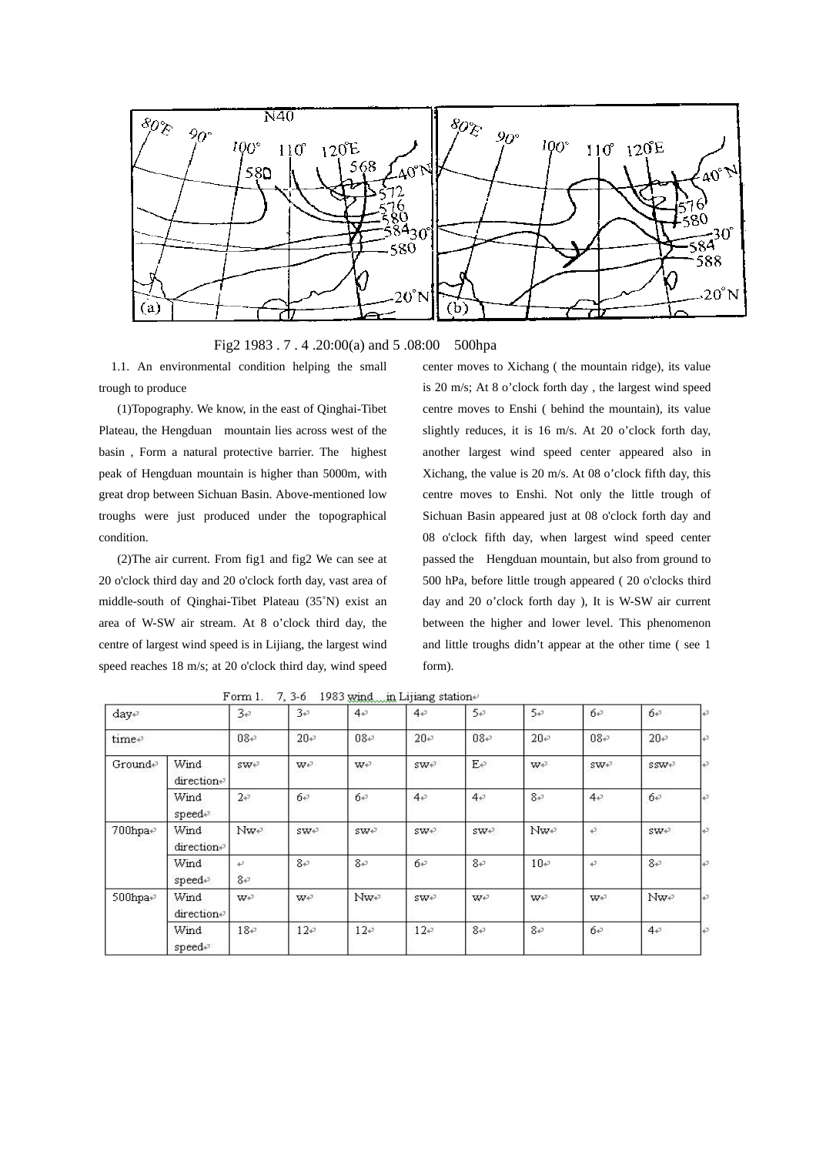

Fig2 1983 . 7 . 4 .20:00(a) and 5 .08:00 500hpa

1.1. An environmental condition helping the small trough to produce

(1)Topography. We know, in the east of Qinghai-Tibet Plateau, the Hengduan mountain lies across west of the basin , Form a natural protective barrier. The highest peak of Hengduan mountain is higher than 5000m, with great drop between Sichuan Basin. Above-mentioned low troughs were just produced under the topographical condition.

(2)The air current. From fig1 and fig2 We can see at 20 o'clock third day and 20 o'clock forth day, vast area of middle-south of Qinghai-Tibet Plateau (35˚N) exist an area of W-SW air stream. At 8 o'clock third day, the centre of largest wind speed is in Lijiang, the largest wind speed reaches 18 m/s; at 20 o'clock third day, wind speed center moves to Xichang ( the mountain ridge), its value is 20 m/s; At 8 o'clock forth day , the largest wind speed centre moves to Enshi ( behind the mountain), its value slightly reduces, it is 16 m/s. At 20 o'clock forth day, another largest wind speed center appeared also in Xichang, the value is 20 m/s. At 08 o'clock fifth day, this centre moves to Enshi. Not only the little trough of Sichuan Basin appeared just at 08 o'clock forth day and 08 o'clock fifth day, when largest wind speed center passed the Hengduan mountain, but also from ground to 500 hPa, before little trough appeared ( 20 o'clocks third day and 20 o'clock forth day ), It is W-SW air current between the higher and lower level. This phenomenon and little troughs didn't appear at the other time ( see 1 form).

| daye<br>time₽ |                    | 3e<br>$08 +$    | 3e<br>$20 -$  | $4 \cdot$<br>$08 +$ | 4e<br>$20 -$ | 5e<br>$08 \div$ | 5e<br>$20 -$ | $6\varphi$<br>$08 +$ | $6\varphi$<br>$20 -$ | تە |
|---------------|--------------------|-----------------|---------------|---------------------|--------------|-----------------|--------------|----------------------|----------------------|----|
|               |                    |                 |               |                     |              |                 |              |                      |                      | ₽  |
| Grounde       | Wind<br>directione | swe             | W÷            | W÷                  | swe          | $E \in$         | W÷           | SW+ <sup>3</sup>     | $SSW+$               | ı€ |
|               | Wind<br>speed₽     | 2e              | б₽            | 6e                  | 4e           | 4e              | $8 + 3$      | 4e                   | б₽                   | ₽  |
| $700$ hpa+    | Wind<br>direction+ | Nwe <sup></sup> | $SWV^{\perp}$ | $SWV^{\perp}$       | SWF          | SWF             | Nwe          | $\vec{v}$            | $SWV^{\perp}$        | ₽  |
|               | Wind<br>speed₽     | ψ<br>$8\sigma$  | $8 + 3$       | $8 + 7$             | б₽           | $8 + 7$         | $10 -$       | $\overline{r}$       | $8 + 7$              | ₽  |
| $500$ hpa+    | Wind<br>directione | W€              | W÷            | Nwe                 | SWF          | W€              | W€           | W÷                   | Nwe                  | ته |
|               | Wind<br>speed₽     | $18 -$          | $12\sigma$    | $12\sigma$          | 12e          | 8e              | 8e           | б₽                   | $44^{\circ}$         | ₽  |

Form 1. 7, 3-6 1983 wind in Lijiang statione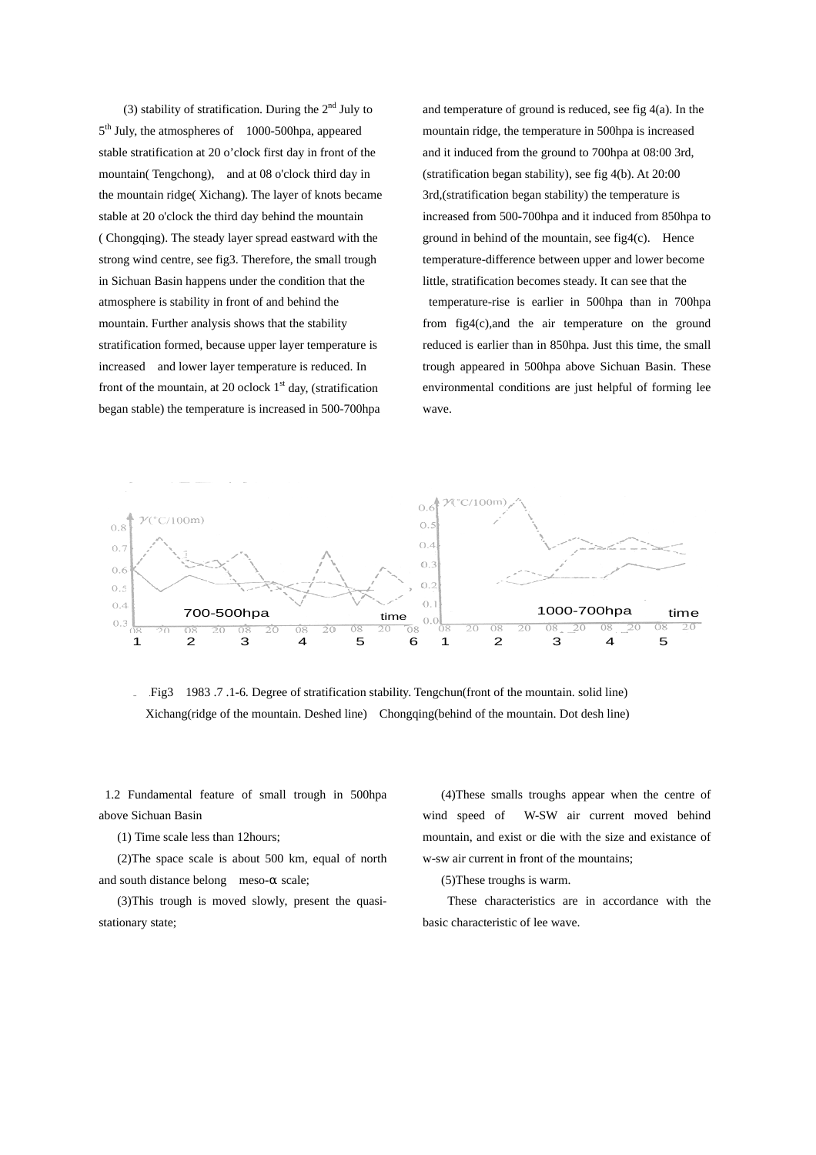(3) stability of stratification. During the  $2<sup>nd</sup>$  July to 5<sup>th</sup> July, the atmospheres of 1000-500hpa, appeared stable stratification at 20 o'clock first day in front of the mountain( Tengchong), and at 08 o'clock third day in the mountain ridge( Xichang). The layer of knots became stable at 20 o'clock the third day behind the mountain ( Chongqing). The steady layer spread eastward with the strong wind centre, see fig3. Therefore, the small trough in Sichuan Basin happens under the condition that the atmosphere is stability in front of and behind the mountain. Further analysis shows that the stability stratification formed, because upper layer temperature is increased and lower layer temperature is reduced. In front of the mountain, at 20 oclock  $1<sup>st</sup>$  day, (stratification began stable) the temperature is increased in 500-700hpa

and temperature of ground is reduced, see fig 4(a). In the mountain ridge, the temperature in 500hpa is increased and it induced from the ground to 700hpa at 08:00 3rd, (stratification began stability), see fig 4(b). At 20:00 3rd,(stratification began stability) the temperature is increased from 500-700hpa and it induced from 850hpa to ground in behind of the mountain, see fig4(c). Hence temperature-difference between upper and lower become little, stratification becomes steady. It can see that the temperature-rise is earlier in 500hpa than in 700hpa from fig4(c),and the air temperature on the ground reduced is earlier than in 850hpa. Just this time, the small trough appeared in 500hpa above Sichuan Basin. These environmental conditions are just helpful of forming lee wave.



.. .Fig3 1983 .7 .1-6. Degree of stratification stability. Tengchun(front of the mountain. solid line) Xichang(ridge of the mountain. Deshed line) Chongqing(behind of the mountain. Dot desh line)

1.2 Fundamental feature of small trough in 500hpa above Sichuan Basin

(1) Time scale less than 12hours;

 (2)The space scale is about 500 km, equal of north and south distance belong meso- scale;

 (3)This trough is moved slowly, present the quasistationary state;

(4)These smalls troughs appear when the centre of wind speed of W-SW air current moved behind mountain, and exist or die with the size and existance of w-sw air current in front of the mountains;

(5)These troughs is warm.

These characteristics are in accordance with the basic characteristic of lee wave.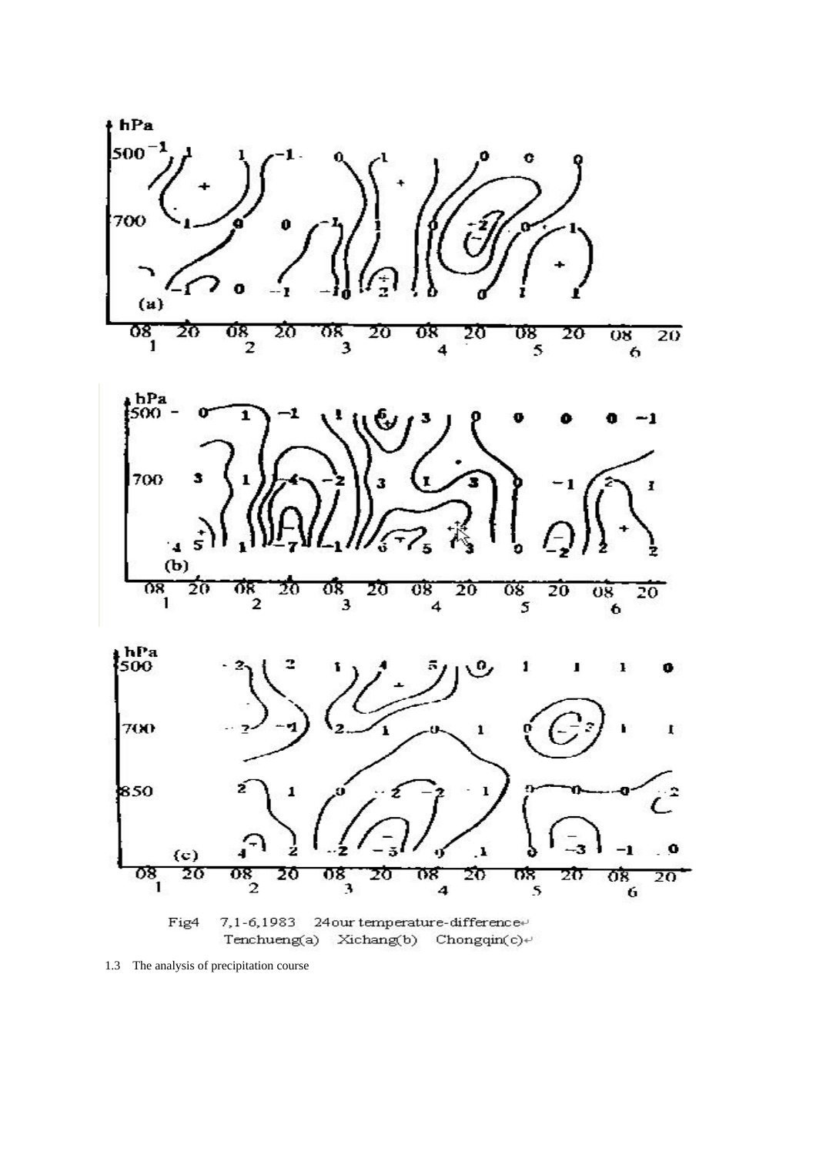

<sup>1.3</sup> The analysis of precipitation course